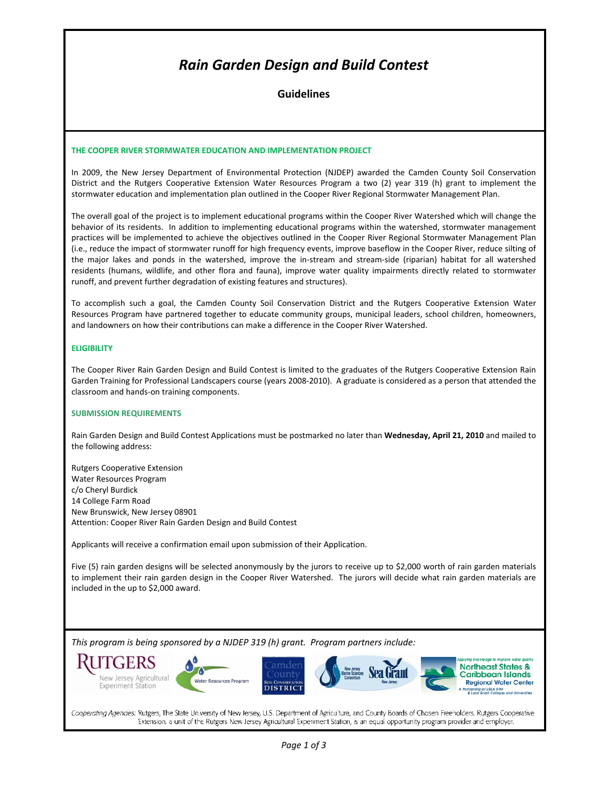# *Rain Garden Design and Build Contest*

**Guidelines**

#### **THE COOPER RIVER STORMWATER EDUCATION AND IMPLEMENTATION PROJECT**

In 2009, the New Jersey Department of Environmental Protection (NJDEP) awarded the Camden County Soil Conservation District and the Rutgers Cooperative Extension Water Resources Program a two (2) year 319 (h) grant to implement the stormwater education and implementation plan outlined in the Cooper River Regional Stormwater Management Plan.

The overall goal of the project is to implement educational programs within the Cooper River Watershed which will change the behavior of its residents. In addition to implementing educational programs within the watershed, stormwater management practices will be implemented to achieve the objectives outlined in the Cooper River Regional Stormwater Management Plan (i.e., reduce the impact of stormwater runoff for high frequency events, improve baseflow in the Cooper River, reduce silting of the major lakes and ponds in the watershed, improve the in‐stream and stream‐side (riparian) habitat for all watershed residents (humans, wildlife, and other flora and fauna), improve water quality impairments directly related to stormwater runoff, and prevent further degradation of existing features and structures).

To accomplish such a goal, the Camden County Soil Conservation District and the Rutgers Cooperative Extension Water Resources Program have partnered together to educate community groups, municipal leaders, school children, homeowners, and landowners on how their contributions can make a difference in the Cooper River Watershed.

#### **ELIGIBILITY**

The Cooper River Rain Garden Design and Build Contest is limited to the graduates of the Rutgers Cooperative Extension Rain Garden Training for Professional Landscapers course (years 2008‐2010). A graduate is considered as a person that attended the classroom and hands‐on training components.

#### **SUBMISSION REQUIREMENTS**

Rain Garden Design and Build Contest Applications must be postmarked no later than **Wednesday, April 21, 2010** and mailed to the following address:

Rutgers Cooperative Extension Water Resources Program c/o Cheryl Burdick 14 College Farm Road New Brunswick, New Jersey 08901 Attention: Cooper River Rain Garden Design and Build Contest

Applicants will receive a confirmation email upon submission of their Application.

Five (5) rain garden designs will be selected anonymously by the jurors to receive up to \$2,000 worth of rain garden materials to implement their rain garden design in the Cooper River Watershed. The jurors will decide what rain garden materials are included in the up to \$2,000 award.

*This program is being sponsored by a NJDEP 319 (h) grant. Program partners include:* 



Cooperating Agencies: Rutgers, The State University of New Jersey, U.S. Department of Agriculture, and County Boards of Chosen Freeholders. Rutgers Cooperative Extension, a unit of the Rutgers New Jersey Agricultural Experiment Station, is an equal opportunity program provider and employer.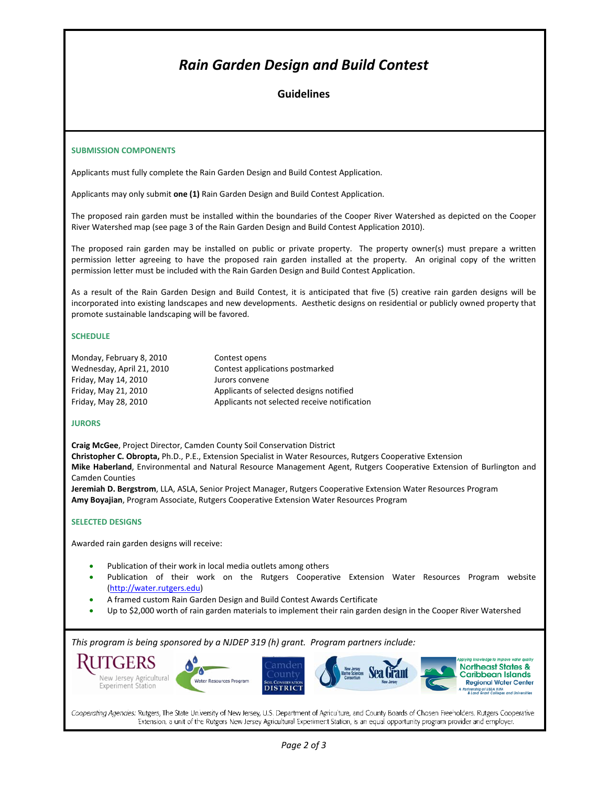# *Rain Garden Design and Build Contest*

# **Guidelines**

#### **SUBMISSION COMPONENTS**

Applicants must fully complete the Rain Garden Design and Build Contest Application.

Applicants may only submit **one (1)** Rain Garden Design and Build Contest Application.

The proposed rain garden must be installed within the boundaries of the Cooper River Watershed as depicted on the Cooper River Watershed map (see page 3 of the Rain Garden Design and Build Contest Application 2010).

The proposed rain garden may be installed on public or private property. The property owner(s) must prepare a written permission letter agreeing to have the proposed rain garden installed at the property. An original copy of the written permission letter must be included with the Rain Garden Design and Build Contest Application.

As a result of the Rain Garden Design and Build Contest, it is anticipated that five (5) creative rain garden designs will be incorporated into existing landscapes and new developments. Aesthetic designs on residential or publicly owned property that promote sustainable landscaping will be favored.

#### **SCHEDULE**

| Monday, February 8, 2010  | Contest opens                                |
|---------------------------|----------------------------------------------|
| Wednesday, April 21, 2010 | Contest applications postmarked              |
| Friday, May 14, 2010      | Jurors convene                               |
| Friday, May 21, 2010      | Applicants of selected designs notified      |
| Friday, May 28, 2010      | Applicants not selected receive notification |

### **JURORS**

**Craig McGee**, Project Director, Camden County Soil Conservation District **Christopher C. Obropta,** Ph.D., P.E., Extension Specialist in Water Resources, Rutgers Cooperative Extension **Mike Haberland**, Environmental and Natural Resource Management Agent, Rutgers Cooperative Extension of Burlington and Camden Counties

**Jeremiah D. Bergstrom**, LLA, ASLA, Senior Project Manager, Rutgers Cooperative Extension Water Resources Program **Amy Boyajian**, Program Associate, Rutgers Cooperative Extension Water Resources Program

### **SELECTED DESIGNS**

Awarded rain garden designs will receive:

- Publication of their work in local media outlets among others
- Publication of their work on the Rutgers Cooperative Extension Water Resources Program website (http://water.rutgers.edu)
- A framed custom Rain Garden Design and Build Contest Awards Certificate
- Up to \$2,000 worth of rain garden materials to implement their rain garden design in the Cooper River Watershed

*This program is being sponsored by a NJDEP 319 (h) grant. Program partners include:* 



Cooperating Agencies: Rutgers, The State University of New Jersey, U.S. Department of Agriculture, and County Boards of Chosen Freeholders. Rutgers Cooperative Extension, a unit of the Rutgers New Jersey Agricultural Experiment Station, is an equal opportunity program provider and employer.